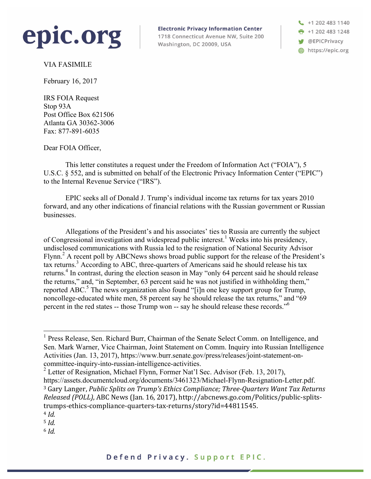

**Electronic Privacy Information Center** 

1718 Connecticut Avenue NW, Suite 200 Washington, DC 20009, USA

 $\binom{1}{2}$  +1 202 483 1140 +1 202 483 1248 **W** @EPICPrivacy https://epic.org

VIA FASIMILE

February 16, 2017

IRS FOIA Request Stop 93A Post Office Box 621506 Atlanta GA 30362-3006 Fax: 877-891-6035

Dear FOIA Officer,

This letter constitutes a request under the Freedom of Information Act ("FOIA"), 5 U.S.C. § 552, and is submitted on behalf of the Electronic Privacy Information Center ("EPIC") to the Internal Revenue Service ("IRS").

EPIC seeks all of Donald J. Trump's individual income tax returns for tax years 2010 forward, and any other indications of financial relations with the Russian government or Russian businesses.

Allegations of the President's and his associates' ties to Russia are currently the subject of Congressional investigation and widespread public interest. <sup>1</sup> Weeks into his presidency, undisclosed communications with Russia led to the resignation of National Security Advisor Flynn.2 A recent poll by ABCNews shows broad public support for the release of the President's tax returns.<sup>3</sup> According to ABC, three-quarters of Americans said he should release his tax returns.<sup>4</sup> In contrast, during the election season in May "only 64 percent said he should release the returns," and, "in September, 63 percent said he was not justified in withholding them," reported ABC.<sup>5</sup> The news organization also found "[i]n one key support group for Trump, noncollege-educated white men, 58 percent say he should release the tax returns," and "69 percent in the red states -- those Trump won -- say he should release these records."6

<sup>2</sup> Letter of Resignation, Michael Flynn, Former Nat'l Sec. Advisor (Feb. 13, 2017), https://assets.documentcloud.org/documents/3461323/Michael-Flynn-Resignation-Letter.pdf. <sup>3</sup> Gary Langer, *Public Splits on Trump's Ethics Compliance; Three-Quarters Want Tax Returns Released (POLL)*, ABC News (Jan. 16, 2017), http://abcnews.go.com/Politics/public-splitstrumps-ethics-compliance-quarters-tax-returns/story?id=44811545. <sup>4</sup> *Id.*

<sup>6</sup> *Id.*

 <sup>1</sup> Press Release, Sen. Richard Burr, Chairman of the Senate Select Comm. on Intelligence, and Sen. Mark Warner, Vice Chairman, Joint Statement on Comm. Inquiry into Russian Intelligence Activities (Jan. 13, 2017), https://www.burr.senate.gov/press/releases/joint-statement-oncommittee-inquiry-into-russian-intelligence-activities.

<sup>5</sup> *Id.*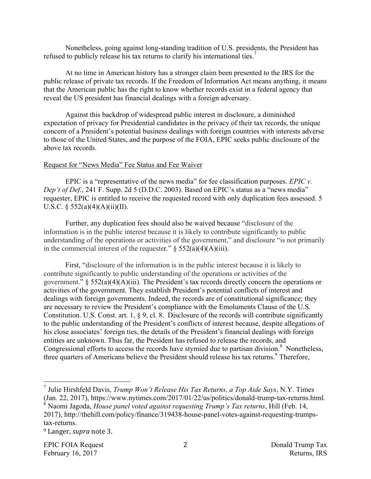Nonetheless, going against long-standing tradition of U.S. presidents, the President has refused to publicly release his tax returns to clarify his international ties.<sup>7</sup>

At no time in American history has a stronger claim been presented to the IRS for the public release of private tax records. If the Freedom of Information Act means anything, it means that the American public has the right to know whether records exist in a federal agency that reveal the US president has financial dealings with a foreign adversary.

Against this backdrop of widespread public interest in disclosure, a diminished expectation of privacy for Presidential candidates in the privacy of their tax records, the unique concern of a President's potential business dealings with foreign countries with interests adverse to those of the United States, and the purpose of the FOIA, EPIC seeks public disclosure of the above tax records.

## Request for "News Media" Fee Status and Fee Waiver

EPIC is a "representative of the news media" for fee classification purposes. *EPIC v. Dep't of Def.*, 241 F. Supp. 2d 5 (D.D.C. 2003). Based on EPIC's status as a "news media" requester, EPIC is entitled to receive the requested record with only duplication fees assessed. 5 U.S.C. §  $552(a)(4)(A)(ii)(II)$ .

Further, any duplication fees should also be waived because "disclosure of the information is in the public interest because it is likely to contribute significantly to public understanding of the operations or activities of the government," and disclosure "is not primarily in the commercial interest of the requester."  $\S$  552(a)(4)(A)(iii).

First, "disclosure of the information is in the public interest because it is likely to contribute significantly to public understanding of the operations or activities of the government."  $\S$  552(a)(4)(A)(iii). The President's tax records directly concern the operations or activities of the government. They establish President's potential conflicts of interest and dealings with foreign governments. Indeed, the records are of constitutional significance; they are necessary to review the President's compliance with the Emoluments Clause of the U.S. Constitution. U.S. Const. art. 1, § 9, cl. 8. Disclosure of the records will contribute significantly to the public understanding of the President's conflicts of interest because, despite allegations of his close associates' foreign ties, the details of the President's financial dealings with foreign entities are unknown. Thus far, the President has refused to release the records, and Congressional efforts to access the records have stymied due to partisan division. $8$  Nonetheless, three quarters of Americans believe the President should release his tax returns.<sup>9</sup> Therefore,

 <sup>7</sup> Julie Hirshfeld Davis, *Trump Won't Release His Tax Returns, a Top Aide Says*, N.Y. Times (Jan. 22, 2017), https://www.nytimes.com/2017/01/22/us/politics/donald-trump-tax-returns.html. <sup>8</sup> Naomi Jagoda, *House panel voted against requesting Trump's Tax returns*, Hill (Feb. 14, 2017), http://thehill.com/policy/finance/319438-house-panel-votes-against-requesting-trumpstax-returns.

<sup>&</sup>lt;sup>9</sup> Langer, *supra* note 3.